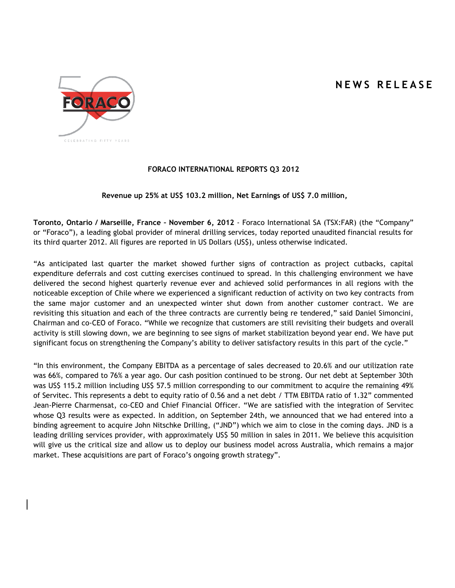# **N E W S R E L E A S E**



# **FORACO INTERNATIONAL REPORTS Q3 2012**

#### **Revenue up 25% at US\$ 103.2 million, Net Earnings of US\$ 7.0 million,**

**Toronto, Ontario / Marseille, France – November 6, 2012** - Foraco International SA (TSX:FAR) (the "Company" or "Foraco"), a leading global provider of mineral drilling services, today reported unaudited financial results for its third quarter 2012. All figures are reported in US Dollars (US\$), unless otherwise indicated.

"As anticipated last quarter the market showed further signs of contraction as project cutbacks, capital expenditure deferrals and cost cutting exercises continued to spread. In this challenging environment we have delivered the second highest quarterly revenue ever and achieved solid performances in all regions with the noticeable exception of Chile where we experienced a significant reduction of activity on two key contracts from the same major customer and an unexpected winter shut down from another customer contract. We are revisiting this situation and each of the three contracts are currently being re tendered," said Daniel Simoncini, Chairman and co-CEO of Foraco. "While we recognize that customers are still revisiting their budgets and overall activity is still slowing down, we are beginning to see signs of market stabilization beyond year end. We have put significant focus on strengthening the Company's ability to deliver satisfactory results in this part of the cycle."

"In this environment, the Company EBITDA as a percentage of sales decreased to 20.6% and our utilization rate was 66%, compared to 76% a year ago. Our cash position continued to be strong. Our net debt at September 30th was US\$ 115.2 million including US\$ 57.5 million corresponding to our commitment to acquire the remaining 49% of Servitec. This represents a debt to equity ratio of 0.56 and a net debt / TTM EBITDA ratio of 1.32" commented Jean-Pierre Charmensat, co-CEO and Chief Financial Officer. "We are satisfied with the integration of Servitec whose Q3 results were as expected. In addition, on September 24th, we announced that we had entered into a binding agreement to acquire John Nitschke Drilling, ("JND") which we aim to close in the coming days. JND is a leading drilling services provider, with approximately US\$ 50 million in sales in 2011. We believe this acquisition will give us the critical size and allow us to deploy our business model across Australia, which remains a major market. These acquisitions are part of Foraco's ongoing growth strategy".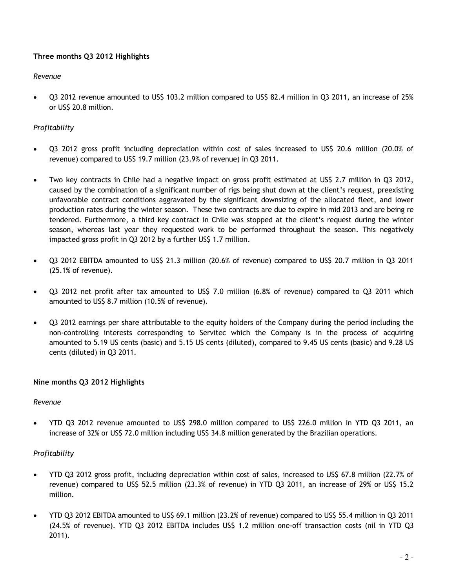# **Three months Q3 2012 Highlights**

### *Revenue*

 Q3 2012 revenue amounted to US\$ 103.2 million compared to US\$ 82.4 million in Q3 2011, an increase of 25% or US\$ 20.8 million.

# *Profitability*

- Q3 2012 gross profit including depreciation within cost of sales increased to US\$ 20.6 million (20.0% of revenue) compared to US\$ 19.7 million (23.9% of revenue) in Q3 2011.
- Two key contracts in Chile had a negative impact on gross profit estimated at US\$ 2.7 million in Q3 2012, caused by the combination of a significant number of rigs being shut down at the client's request, preexisting unfavorable contract conditions aggravated by the significant downsizing of the allocated fleet, and lower production rates during the winter season. These two contracts are due to expire in mid 2013 and are being re tendered. Furthermore, a third key contract in Chile was stopped at the client's request during the winter season, whereas last year they requested work to be performed throughout the season. This negatively impacted gross profit in Q3 2012 by a further US\$ 1.7 million.
- Q3 2012 EBITDA amounted to US\$ 21.3 million (20.6% of revenue) compared to US\$ 20.7 million in Q3 2011 (25.1% of revenue).
- Q3 2012 net profit after tax amounted to US\$ 7.0 million (6.8% of revenue) compared to Q3 2011 which amounted to US\$ 8.7 million (10.5% of revenue).
- Q3 2012 earnings per share attributable to the equity holders of the Company during the period including the non-controlling interests corresponding to Servitec which the Company is in the process of acquiring amounted to 5.19 US cents (basic) and 5.15 US cents (diluted), compared to 9.45 US cents (basic) and 9.28 US cents (diluted) in Q3 2011.

## **Nine months Q3 2012 Highlights**

## *Revenue*

 YTD Q3 2012 revenue amounted to US\$ 298.0 million compared to US\$ 226.0 million in YTD Q3 2011, an increase of 32% or US\$ 72.0 million including US\$ 34.8 million generated by the Brazilian operations.

## *Profitability*

- YTD Q3 2012 gross profit, including depreciation within cost of sales, increased to US\$ 67.8 million (22.7% of revenue) compared to US\$ 52.5 million (23.3% of revenue) in YTD Q3 2011, an increase of 29% or US\$ 15.2 million.
- YTD Q3 2012 EBITDA amounted to US\$ 69.1 million (23.2% of revenue) compared to US\$ 55.4 million in Q3 2011 (24.5% of revenue). YTD Q3 2012 EBITDA includes US\$ 1.2 million one-off transaction costs (nil in YTD Q3 2011).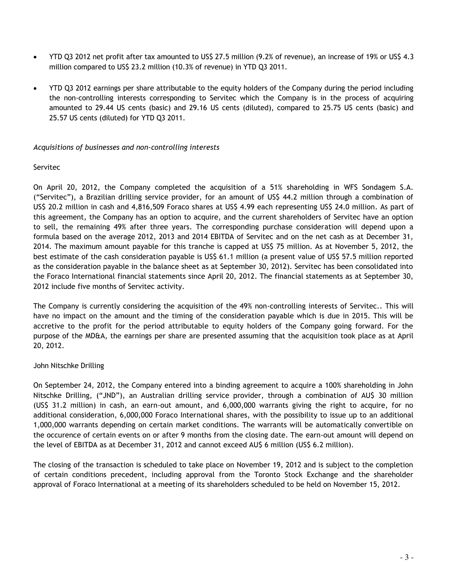- YTD Q3 2012 net profit after tax amounted to US\$ 27.5 million (9.2% of revenue), an increase of 19% or US\$ 4.3 million compared to US\$ 23.2 million (10.3% of revenue) in YTD Q3 2011.
- YTD Q3 2012 earnings per share attributable to the equity holders of the Company during the period including the non-controlling interests corresponding to Servitec which the Company is in the process of acquiring amounted to 29.44 US cents (basic) and 29.16 US cents (diluted), compared to 25.75 US cents (basic) and 25.57 US cents (diluted) for YTD Q3 2011.

#### *Acquisitions of businesses and non-controlling interests*

### Servitec

On April 20, 2012, the Company completed the acquisition of a 51% shareholding in WFS Sondagem S.A. ("Servitec"), a Brazilian drilling service provider, for an amount of US\$ 44.2 million through a combination of US\$ 20.2 million in cash and 4,816,509 Foraco shares at US\$ 4.99 each representing US\$ 24.0 million. As part of this agreement, the Company has an option to acquire, and the current shareholders of Servitec have an option to sell, the remaining 49% after three years. The corresponding purchase consideration will depend upon a formula based on the average 2012, 2013 and 2014 EBITDA of Servitec and on the net cash as at December 31, 2014. The maximum amount payable for this tranche is capped at US\$ 75 million. As at November 5, 2012, the best estimate of the cash consideration payable is US\$ 61.1 million (a present value of US\$ 57.5 million reported as the consideration payable in the balance sheet as at September 30, 2012). Servitec has been consolidated into the Foraco International financial statements since April 20, 2012. The financial statements as at September 30, 2012 include five months of Servitec activity.

The Company is currently considering the acquisition of the 49% non-controlling interests of Servitec.. This will have no impact on the amount and the timing of the consideration payable which is due in 2015. This will be accretive to the profit for the period attributable to equity holders of the Company going forward. For the purpose of the MD&A, the earnings per share are presented assuming that the acquisition took place as at April 20, 2012.

#### John Nitschke Drilling

On September 24, 2012, the Company entered into a binding agreement to acquire a 100% shareholding in John Nitschke Drilling, ("JND"), an Australian drilling service provider, through a combination of AU\$ 30 million (US\$ 31.2 million) in cash, an earn-out amount, and 6,000,000 warrants giving the right to acquire, for no additional consideration, 6,000,000 Foraco International shares, with the possibility to issue up to an additional 1,000,000 warrants depending on certain market conditions. The warrants will be automatically convertible on the occurence of certain events on or after 9 months from the closing date. The earn-out amount will depend on the level of EBITDA as at December 31, 2012 and cannot exceed AUS 6 million (USS 6.2 million).

The closing of the transaction is scheduled to take place on November 19, 2012 and is subject to the completion of certain conditions precedent, including approval from the Toronto Stock Exchange and the shareholder approval of Foraco International at a meeting of its shareholders scheduled to be held on November 15, 2012.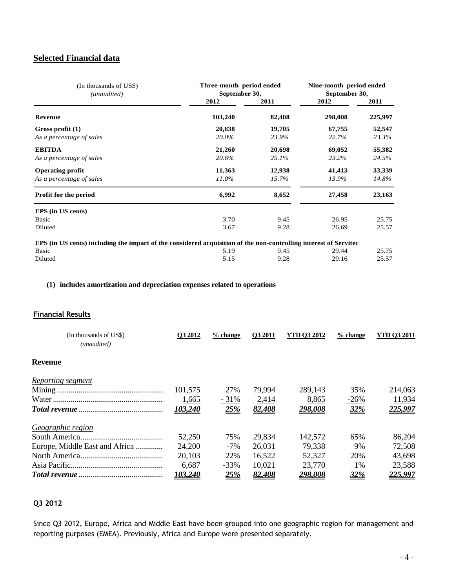# **Selected Financial data**

| (In thousands of US\$)<br>(unaudited)                                                                            | Three-month period ended<br>September 30, | Nine-month period ended<br>September 30, |         |         |
|------------------------------------------------------------------------------------------------------------------|-------------------------------------------|------------------------------------------|---------|---------|
|                                                                                                                  | 2012                                      | 2011                                     | 2012    | 2011    |
| <b>Revenue</b>                                                                                                   | 103,240                                   | 82,408                                   | 298,008 | 225,997 |
| Gross profit (1)                                                                                                 | 20,638                                    | 19,705                                   | 67,755  | 52,547  |
| As a percentage of sales                                                                                         | 20.0%                                     | 23.9%                                    | 22.7%   | 23.3%   |
| <b>EBITDA</b>                                                                                                    | 21,260                                    | 20,698                                   | 69,052  | 55,382  |
| As a percentage of sales                                                                                         | 20.6%                                     | 25.1%                                    | 23.2%   | 24.5%   |
| <b>Operating profit</b>                                                                                          | 11,363                                    | 12,938                                   | 41,413  | 33,339  |
| As a percentage of sales                                                                                         | 11.0%                                     | 15.7%                                    | 13.9%   | 14.8%   |
| <b>Profit for the period</b>                                                                                     | 6,992                                     | 8,652                                    | 27,458  | 23,163  |
| EPS (in US cents)                                                                                                |                                           |                                          |         |         |
| <b>Basic</b>                                                                                                     | 3.70                                      | 9.45                                     | 26.95   | 25.75   |
| Diluted                                                                                                          | 3.67                                      | 9.28                                     | 26.69   | 25.57   |
| EPS (in US cents) including the impact of the considered acquisition of the non-controlling interest of Servitec |                                           |                                          |         |         |

| Basic           | 5.19 | 9.45 | 29.44 25.75 |       |
|-----------------|------|------|-------------|-------|
| Diluted<br>5.15 |      | 9.28 | 29.16       | 25.57 |

### **(1) includes amortization and depreciation expenses related to operations**

### **Financial Results**

| (In thousands of US\$)<br>(unaudited) | O3 2012 | $%$ change | <b>O3 2011</b> | <b>YTD 03 2012</b> | $%$ change | YTD 03 2011 |
|---------------------------------------|---------|------------|----------------|--------------------|------------|-------------|
| <b>Revenue</b>                        |         |            |                |                    |            |             |
| <u>Reporting segment</u>              |         |            |                |                    |            |             |
|                                       | 101,575 | 27%        | 79,994         | 289,143            | 35%        | 214,063     |
|                                       | 1,665   | $-31%$     | 2,414          | 8,865              | $-26%$     | 11,934      |
|                                       | 103,240 | 25%        | 82,408         | 298,008            | 32%        | 225,997     |
| Geographic region                     |         |            |                |                    |            |             |
|                                       | 52,250  | 75%        | 29,834         | 142,572            | 65%        | 86,204      |
| Europe, Middle East and Africa        | 24,200  | $-7\%$     | 26,031         | 79,338             | 9%         | 72,508      |
|                                       | 20,103  | 22%        | 16,522         | 52,327             | 20%        | 43,698      |
|                                       | 6,687   | $-33\%$    | 10,021         | 23,770             | $1\%$      | 23,588      |
|                                       | 103.240 | 25%        | 82.408         | <u>298.008</u>     | 32%        | 225.997     |

# **Q3 2012**

Since Q3 2012, Europe, Africa and Middle East have been grouped into one geographic region for management and reporting purposes (EMEA). Previously, Africa and Europe were presented separately.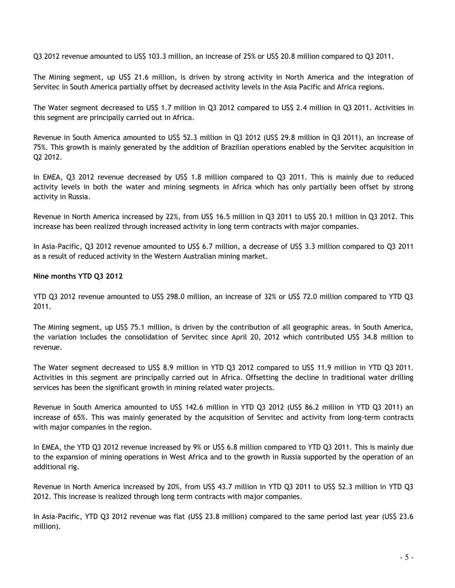Q3 2012 revenue amounted to US\$ 103.3 million, an increase of 25% or US\$ 20.8 million compared to Q3 2011.

The Mining segment, up US\$ 21.6 million, is driven by strong activity in North America and the integration of Servitec in South America partially offset by decreased activity levels in the Asia Pacific and Africa regions.

The Water segment decreased to US\$ 1.7 million in Q3 2012 compared to US\$ 2.4 million in Q3 2011. Activities in this segment are principally carried out in Africa.

Revenue in South America amounted to US\$ 52.3 million in Q3 2012 (US\$ 29.8 million in Q3 2011), an increase of 75%. This growth is mainly generated by the addition of Brazilian operations enabled by the Servitec acquisition in Q2 2012.

In EMEA, Q3 2012 revenue decreased by US\$ 1.8 million compared to Q3 2011. This is mainly due to reduced activity levels in both the water and mining segments in Africa which has only partially been offset by strong activity in Russia.

Revenue in North America increased by 22%, from US\$ 16.5 million in Q3 2011 to US\$ 20.1 million in Q3 2012. This increase has been realized through increased activity in long term contracts with major companies.

In Asia-Pacific, Q3 2012 revenue amounted to US\$ 6.7 million, a decrease of US\$ 3.3 million compared to Q3 2011 as a result of reduced activity in the Western Australian mining market.

#### **Nine months YTD Q3 2012**

YTD Q3 2012 revenue amounted to US\$ 298.0 million, an increase of 32% or US\$ 72.0 million compared to YTD Q3 2011.

The Mining segment, up US\$ 75.1 million, is driven by the contribution of all geographic areas. In South America, the variation includes the consolidation of Servitec since April 20, 2012 which contributed US\$ 34.8 million to revenue.

The Water segment decreased to US\$ 8.9 million in YTD Q3 2012 compared to US\$ 11.9 million in YTD Q3 2011. Activities in this segment are principally carried out in Africa. Offsetting the decline in traditional water drilling services has been the significant growth in mining related water projects.

Revenue in South America amounted to US\$ 142.6 million in YTD Q3 2012 (US\$ 86.2 million in YTD Q3 2011) an increase of 65%. This was mainly generated by the acquisition of Servitec and activity from long-term contracts with major companies in the region.

In EMEA, the YTD Q3 2012 revenue increased by 9% or US\$ 6.8 million compared to YTD Q3 2011. This is mainly due to the expansion of mining operations in West Africa and to the growth in Russia supported by the operation of an additional rig.

Revenue in North America increased by 20%, from US\$ 43.7 million in YTD Q3 2011 to US\$ 52.3 million in YTD Q3 2012. This increase is realized through long term contracts with major companies.

In Asia-Pacific, YTD Q3 2012 revenue was flat (US\$ 23.8 million) compared to the same period last year (US\$ 23.6 million).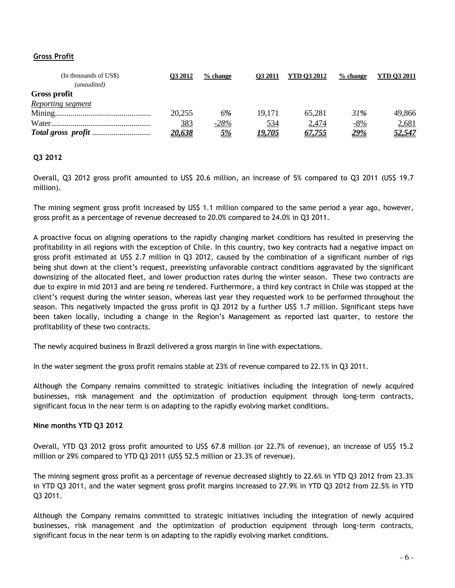### **Gross Profit**

| (In thousands of US\$) | <b>O3 2012</b> | $%$ change | O <sub>3</sub> 2011 | <b>YTD 03 2012</b> | $%$ change  | <b>YTD 03 2011</b> |
|------------------------|----------------|------------|---------------------|--------------------|-------------|--------------------|
| (unaudited)            |                |            |                     |                    |             |                    |
| <b>Gross profit</b>    |                |            |                     |                    |             |                    |
| Reporting segment      |                |            |                     |                    |             |                    |
|                        | 20,255         | 6%         | 19.171              | 65.281             | 31%         | 49,866             |
|                        | 383            | $-28%$     | 534                 | 2,474              | $-8%$       | 2,681              |
|                        | 20.638         | <u>5%</u>  | <u>19.705</u>       | 67.755             | <u> 29%</u> | <u>52,547</u>      |

### **Q3 2012**

Overall, Q3 2012 gross profit amounted to US\$ 20.6 million, an increase of 5% compared to Q3 2011 (US\$ 19.7 million).

The mining segment gross profit increased by US\$ 1.1 million compared to the same period a year ago, however, gross profit as a percentage of revenue decreased to 20.0% compared to 24.0% in Q3 2011.

A proactive focus on aligning operations to the rapidly changing market conditions has resulted in preserving the profitability in all regions with the exception of Chile. In this country, two key contracts had a negative impact on gross profit estimated at US\$ 2.7 million in Q3 2012, caused by the combination of a significant number of rigs being shut down at the client's request, preexisting unfavorable contract conditions aggravated by the significant downsizing of the allocated fleet, and lower production rates during the winter season. These two contracts are due to expire in mid 2013 and are being re tendered. Furthermore, a third key contract in Chile was stopped at the client's request during the winter season, whereas last year they requested work to be performed throughout the season. This negatively impacted the gross profit in Q3 2012 by a further US\$ 1.7 million. Significant steps have been taken locally, including a change in the Region's Management as reported last quarter, to restore the profitability of these two contracts.

The newly acquired business in Brazil delivered a gross margin in line with expectations.

In the water segment the gross profit remains stable at 23% of revenue compared to 22.1% in Q3 2011.

Although the Company remains committed to strategic initiatives including the integration of newly acquired businesses, risk management and the optimization of production equipment through long-term contracts, significant focus in the near term is on adapting to the rapidly evolving market conditions.

#### **Nine months YTD Q3 2012**

Overall, YTD Q3 2012 gross profit amounted to US\$ 67.8 million (or 22.7% of revenue), an increase of US\$ 15.2 million or 29% compared to YTD Q3 2011 (US\$ 52.5 million or 23.3% of revenue).

The mining segment gross profit as a percentage of revenue decreased slightly to 22.6% in YTD Q3 2012 from 23.3% in YTD Q3 2011, and the water segment gross profit margins increased to 27.9% in YTD Q3 2012 from 22.5% in YTD Q3 2011.

Although the Company remains committed to strategic initiatives including the integration of newly acquired businesses, risk management and the optimization of production equipment through long-term contracts, significant focus in the near term is on adapting to the rapidly evolving market conditions.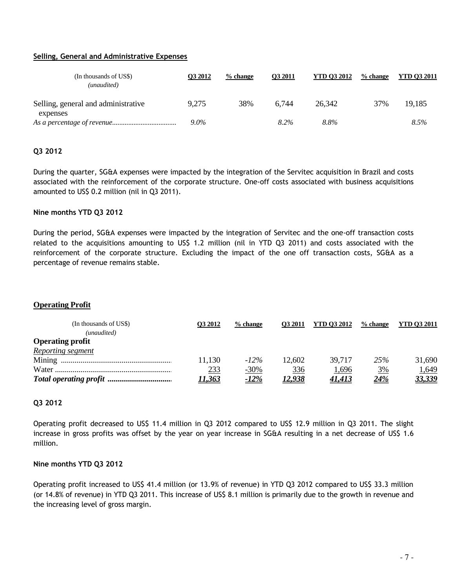#### **Selling, General and Administrative Expenses**

| (In thousands of US\$)<br>(unaudited)           | <b>O3 2012</b> | $%$ change | O3 2011 | <b>YTD 03 2012</b> | % change | <b>YTD 03 2011</b> |
|-------------------------------------------------|----------------|------------|---------|--------------------|----------|--------------------|
| Selling, general and administrative<br>expenses | 9,275          | 38%        | 6.744   | 26.342             | 37%      | 19,185             |
|                                                 | $9.0\%$        |            | 8.2%    | 8.8%               |          | 8.5%               |

### **Q3 2012**

During the quarter, SG&A expenses were impacted by the integration of the Servitec acquisition in Brazil and costs associated with the reinforcement of the corporate structure. One-off costs associated with business acquisitions amounted to US\$ 0.2 million (nil in Q3 2011).

#### **Nine months YTD Q3 2012**

During the period, SG&A expenses were impacted by the integration of Servitec and the one-off transaction costs related to the acquisitions amounting to US\$ 1.2 million (nil in YTD Q3 2011) and costs associated with the reinforcement of the corporate structure. Excluding the impact of the one off transaction costs, SG&A as a percentage of revenue remains stable.

## **Operating Profit**

| (In thousands of US\$)  | <b>O3 2012</b> | $%$ change  | <b>O3 2011</b> | <b>YTD 03 2012</b> | % change  | <b>YTD 03 2011</b> |
|-------------------------|----------------|-------------|----------------|--------------------|-----------|--------------------|
| (unaudited)             |                |             |                |                    |           |                    |
| <b>Operating profit</b> |                |             |                |                    |           |                    |
| Reporting segment       |                |             |                |                    |           |                    |
|                         | 11,130         | $-12\%$     | 12,602         | 39.717             | 25%       | 31,690             |
|                         | <u>233</u>     | $-30%$      | 336            | 1,696              | <u>3%</u> | 1,649              |
|                         | <u> 11.363</u> | <u>-12%</u> | <u>12.938</u>  | <u>41.413</u>      | 24%       | <u>33,339</u>      |

### **Q3 2012**

Operating profit decreased to US\$ 11.4 million in Q3 2012 compared to US\$ 12.9 million in Q3 2011. The slight increase in gross profits was offset by the year on year increase in SG&A resulting in a net decrease of US\$ 1.6 million.

#### **Nine months YTD Q3 2012**

Operating profit increased to US\$ 41.4 million (or 13.9% of revenue) in YTD Q3 2012 compared to US\$ 33.3 million (or 14.8% of revenue) in YTD Q3 2011. This increase of US\$ 8.1 million is primarily due to the growth in revenue and the increasing level of gross margin.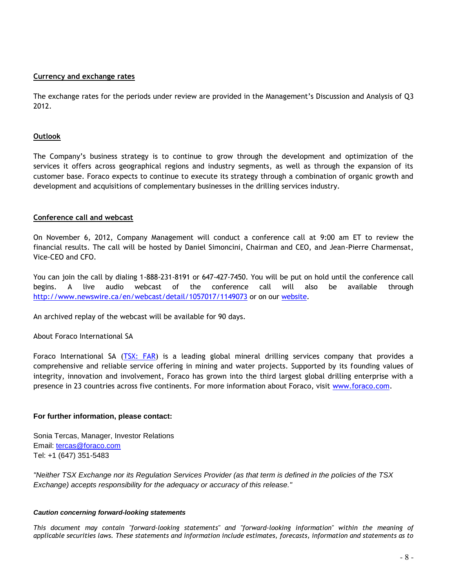#### **Currency and exchange rates**

The exchange rates for the periods under review are provided in the Management's Discussion and Analysis of Q3 2012.

#### **Outlook**

The Company's business strategy is to continue to grow through the development and optimization of the services it offers across geographical regions and industry segments, as well as through the expansion of its customer base. Foraco expects to continue to execute its strategy through a combination of organic growth and development and acquisitions of complementary businesses in the drilling services industry.

#### **Conference call and webcast**

On November 6, 2012, Company Management will conduct a conference call at 9:00 am ET to review the financial results. The call will be hosted by Daniel Simoncini, Chairman and CEO, and Jean-Pierre Charmensat, Vice-CEO and CFO.

You can join the call by dialing 1-888-231-8191 or 647-427-7450. You will be put on hold until the conference call begins. A live audio webcast of the conference call will also be available through <http://www.newswire.ca/en/webcast/detail/1057017/1149073> or on our [website.](http://www.foraco.com/index.php/investors/events-a-earnings-calendar)

An archived replay of the webcast will be available for 90 days.

About Foraco International SA

Foraco International SA [\(TSX: FAR\)](http://tmx.quotemedia.com/quote.php?qm_symbol=FAR) is a leading global mineral drilling services company that provides a comprehensive and reliable service offering in mining and water projects. Supported by its founding values of integrity, innovation and involvement, Foraco has grown into the third largest global drilling enterprise with a presence in 23 countries across five continents. For more information about Foraco, visit [www.foraco.com.](http://www.foraco.com/)

#### **For further information, please contact:**

Sonia Tercas, Manager, Investor Relations Email: [tercas@foraco.com](mailto:tercas@foraco.com) Tel: +1 (647) 351-5483

*"Neither TSX Exchange nor its Regulation Services Provider (as that term is defined in the policies of the TSX Exchange) accepts responsibility for the adequacy or accuracy of this release."* 

#### *Caution concerning forward-looking statements*

*This document may contain "forward-looking statements" and "forward-looking information" within the meaning of applicable securities laws. These statements and information include estimates, forecasts, information and statements as to*